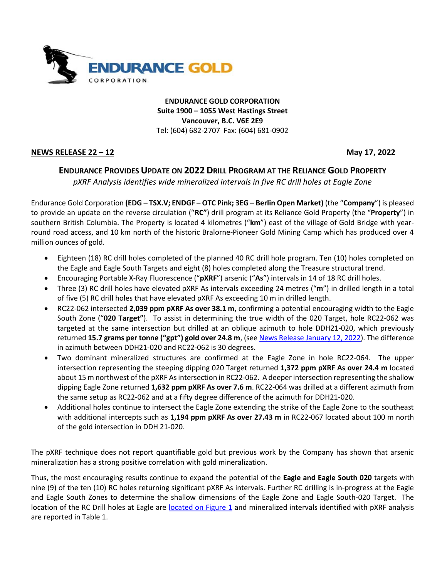

**ENDURANCE GOLD CORPORATION Suite 1900 – 1055 West Hastings Street Vancouver, B.C. V6E 2E9** Tel: (604) 682-2707 Fax: (604) 681-0902

## **NEWS RELEASE 22 – 12 May 17, 2022**

## **ENDURANCE PROVIDES UPDATE ON 2022 DRILL PROGRAM AT THE RELIANCE GOLD PROPERTY**

*pXRF Analysis identifies wide mineralized intervals in five RC drill holes at Eagle Zone*

Endurance Gold Corporation **(EDG – TSX.V; ENDGF – OTC Pink; 3EG – Berlin Open Market)** (the "**Company**") is pleased to provide an update on the reverse circulation ("**RC"**) drill program at its Reliance Gold Property (the "**Property**") in southern British Columbia. The Property is located 4 kilometres ("**km**") east of the village of Gold Bridge with yearround road access, and 10 km north of the historic Bralorne-Pioneer Gold Mining Camp which has produced over 4 million ounces of gold.

- Eighteen (18) RC drill holes completed of the planned 40 RC drill hole program. Ten (10) holes completed on the Eagle and Eagle South Targets and eight (8) holes completed along the Treasure structural trend.
- Encouraging Portable X-Ray Fluorescence ("**pXRF**") arsenic ("**As**") intervals in 14 of 18 RC drill holes.
- Three (3) RC drill holes have elevated pXRF As intervals exceeding 24 metres ("**m**") in drilled length in a total of five (5) RC drill holes that have elevated pXRF As exceeding 10 m in drilled length.
- RC22-062 intersected **2,039 ppm pXRF As over 38.1 m,** confirming a potential encouraging width to the Eagle South Zone ("**020 Target"**). To assist in determining the true width of the 020 Target, hole RC22-062 was targeted at the same intersection but drilled at an oblique azimuth to hole DDH21-020, which previously returned **15.7 grams per tonne ("gpt") gold over 24.8 m**, (see [News Release](https://endurancegold.com/news-releases/endurance-reports-new-drill-discovery-of-15.7-gpt-gold-over-24.8-metres-including-29.96-gpt-gold-over-4.1-m-on-the-reliance/) January 12, 2022). The difference in azimuth between DDH21-020 and RC22-062 is 30 degrees.
- Two dominant mineralized structures are confirmed at the Eagle Zone in hole RC22-064. The upper intersection representing the steeping dipping 020 Target returned **1,372 ppm pXRF As over 24.4 m** located about 15 m northwest of the pXRF As intersection in RC22-062. A deeper intersection representing the shallow dipping Eagle Zone returned **1,632 ppm pXRF As over 7.6 m**. RC22-064 was drilled at a different azimuth from the same setup as RC22-062 and at a fifty degree difference of the azimuth for DDH21-020.
- Additional holes continue to intersect the Eagle Zone extending the strike of the Eagle Zone to the southeast with additional intercepts such as **1,194 ppm pXRF As over 27.43 m** in RC22-067 located about 100 m north of the gold intersection in DDH 21-020.

The pXRF technique does not report quantifiable gold but previous work by the Company has shown that arsenic mineralization has a strong positive correlation with gold mineralization.

Thus, the most encouraging results continue to expand the potential of the **Eagle and Eagle South 020** targets with nine (9) of the ten (10) RC holes returning significant pXRF As intervals. Further RC drilling is in-progress at the Eagle and Eagle South Zones to determine the shallow dimensions of the Eagle Zone and Eagle South-020 Target. The location of the RC Drill holes at Eagle are [located on Figure 1](https://endurancegold.com/site/assets/files/6966/reliance_eagle_drill_rc2022_v2.pdf) and mineralized intervals identified with pXRF analysis are reported in Table 1.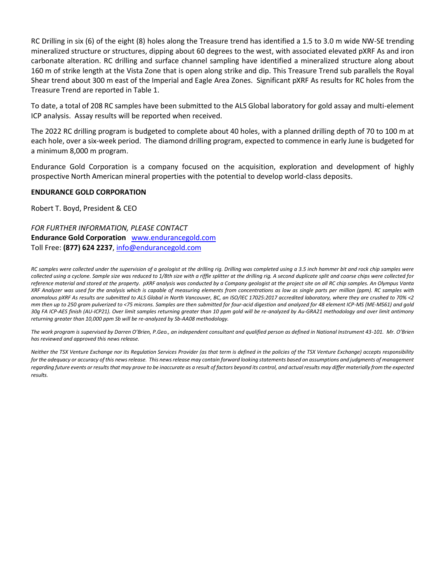RC Drilling in six (6) of the eight (8) holes along the Treasure trend has identified a 1.5 to 3.0 m wide NW-SE trending mineralized structure or structures, dipping about 60 degrees to the west, with associated elevated pXRF As and iron carbonate alteration. RC drilling and surface channel sampling have identified a mineralized structure along about 160 m of strike length at the Vista Zone that is open along strike and dip. This Treasure Trend sub parallels the Royal Shear trend about 300 m east of the Imperial and Eagle Area Zones. Significant pXRF As results for RC holes from the Treasure Trend are reported in Table 1.

To date, a total of 208 RC samples have been submitted to the ALS Global laboratory for gold assay and multi-element ICP analysis. Assay results will be reported when received.

The 2022 RC drilling program is budgeted to complete about 40 holes, with a planned drilling depth of 70 to 100 m at each hole, over a six-week period. The diamond drilling program, expected to commence in early June is budgeted for a minimum 8,000 m program.

Endurance Gold Corporation is a company focused on the acquisition, exploration and development of highly prospective North American mineral properties with the potential to develop world-class deposits.

#### **ENDURANCE GOLD CORPORATION**

Robert T. Boyd, President & CEO

*FOR FURTHER INFORMATION, PLEASE CONTACT* **Endurance Gold Corporation** [www.endurancegold.com](http://www.endurancegold.com/) Toll Free: **(877) 624 2237**, [info@endurancegold.com](mailto:info@endurancegold.com)

*RC samples were collected under the supervision of a geologist at the drilling rig. Drilling was completed using a 3.5 inch hammer bit and rock chip samples were collected using a cyclone. Sample size was reduced to 1/8th size with a riffle splitter at the drilling rig. A second duplicate split and coarse chips were collected for reference material and stored at the property. pXRF analysis was conducted by a Company geologist at the project site on all RC chip samples. An Olympus Vanta XRF Analyzer was used for the analysis which is capable of measuring elements from concentrations as low as single parts per million (ppm). RC samples with anomalous pXRF As results are submitted to ALS Global in North Vancouver, BC, an ISO/IEC 17025:2017 accredited laboratory, where they are crushed to 70% <2 mm then up to 250 gram pulverized to <75 microns. Samples are then submitted for four-acid digestion and analyzed for 48 element ICP-MS (ME-MS61) and gold 30g FA ICP-AES finish (AU-ICP21). Over limit samples returning greater than 10 ppm gold will be re-analyzed by Au-GRA21 methodology and over limit antimony returning greater than 10,000 ppm Sb will be re-analyzed by Sb-AA08 methodology.* 

*The work program is supervised by Darren O'Brien, P.Geo., an independent consultant and qualified person as defined in National Instrument 43-101. Mr. O'Brien has reviewed and approved this news release.*

*Neither the TSX Venture Exchange nor its Regulation Services Provider (as that term is defined in the policies of the TSX Venture Exchange) accepts responsibility for the adequacy or accuracy of this news release. This news release may contain forward looking statements based on assumptions and judgments of management regarding future events or results that may prove to be inaccurate as a result of factors beyond its control, and actual results may differ materially from the expected results.*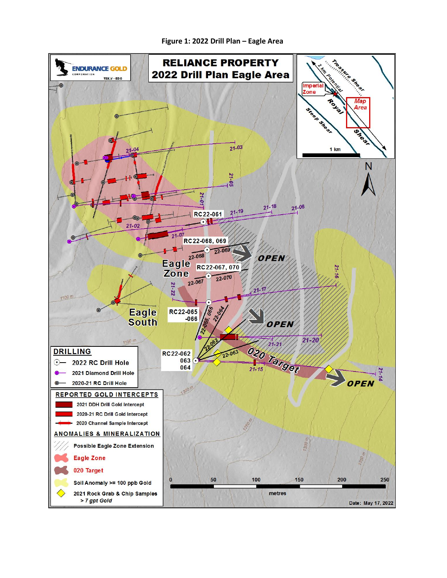